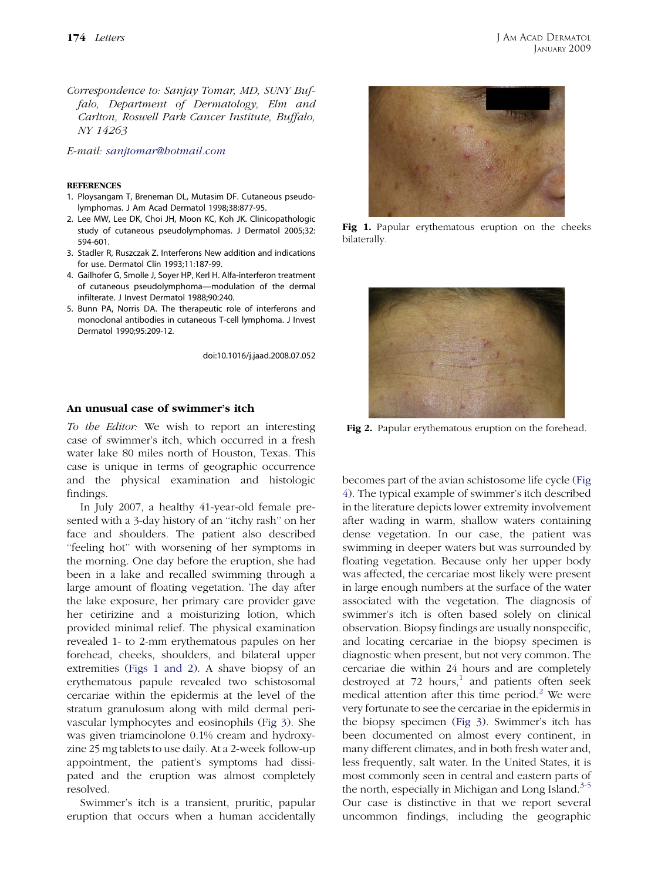Correspondence to: Sanjay Tomar, MD, SUNY Buffalo, Department of Dermatology, Elm and Carlton, Roswell Park Cancer Institute, Buffalo, NY 14263

E-mail: [sanjtomar@hotmail.com](mailto:sanjtomar@hotmail.com)

## **REFERENCES**

- 1. Ploysangam T, Breneman DL, Mutasim DF. Cutaneous pseudolymphomas. J Am Acad Dermatol 1998;38:877-95.
- 2. Lee MW, Lee DK, Choi JH, Moon KC, Koh JK. Clinicopathologic study of cutaneous pseudolymphomas. J Dermatol 2005;32: 594-601.
- 3. Stadler R, Ruszczak Z. Interferons New addition and indications for use. Dermatol Clin 1993;11:187-99.
- 4. Gailhofer G, Smolle J, Soyer HP, Kerl H. Alfa-interferon treatment of cutaneous pseudolymphoma—modulation of the dermal infilterate. J Invest Dermatol 1988;90:240.
- 5. Bunn PA, Norris DA. The therapeutic role of interferons and monoclonal antibodies in cutaneous T-cell lymphoma. J Invest Dermatol 1990;95:209-12.

doi:10.1016/j.jaad.2008.07.052

## An unusual case of swimmer's itch

To the Editor: We wish to report an interesting case of swimmer's itch, which occurred in a fresh water lake 80 miles north of Houston, Texas. This case is unique in terms of geographic occurrence and the physical examination and histologic findings.

In July 2007, a healthy 41-year-old female presented with a 3-day history of an ''itchy rash'' on her face and shoulders. The patient also described ''feeling hot'' with worsening of her symptoms in the morning. One day before the eruption, she had been in a lake and recalled swimming through a large amount of floating vegetation. The day after the lake exposure, her primary care provider gave her cetirizine and a moisturizing lotion, which provided minimal relief. The physical examination revealed 1- to 2-mm erythematous papules on her forehead, cheeks, shoulders, and bilateral upper extremities (Figs 1 and 2). A shave biopsy of an erythematous papule revealed two schistosomal cercariae within the epidermis at the level of the stratum granulosum along with mild dermal perivascular lymphocytes and eosinophils [\(Fig 3\)](#page-1-0). She was given triamcinolone 0.1% cream and hydroxyzine 25 mg tablets to use daily. At a 2-week follow-up appointment, the patient's symptoms had dissipated and the eruption was almost completely resolved.

Swimmer's itch is a transient, pruritic, papular eruption that occurs when a human accidentally



Fig 1. Papular erythematous eruption on the cheeks bilaterally.



Fig 2. Papular erythematous eruption on the forehead.

becomes part of the avian schistosome life cycle ([Fig](#page-1-0) [4](#page-1-0)). The typical example of swimmer's itch described in the literature depicts lower extremity involvement after wading in warm, shallow waters containing dense vegetation. In our case, the patient was swimming in deeper waters but was surrounded by floating vegetation. Because only her upper body was affected, the cercariae most likely were present in large enough numbers at the surface of the water associated with the vegetation. The diagnosis of swimmer's itch is often based solely on clinical observation. Biopsy findings are usually nonspecific, and locating cercariae in the biopsy specimen is diagnostic when present, but not very common. The cercariae die within 24 hours and are completely destroyed at  $72$  hours,<sup>[1](#page-2-0)</sup> and patients often seek medical attention after this time period.<sup>[2](#page-2-0)</sup> We were very fortunate to see the cercariae in the epidermis in the biopsy specimen ([Fig 3\)](#page-1-0). Swimmer's itch has been documented on almost every continent, in many different climates, and in both fresh water and, less frequently, salt water. In the United States, it is most commonly seen in central and eastern parts of the north, especially in Michigan and Long Island. $3-5$ Our case is distinctive in that we report several uncommon findings, including the geographic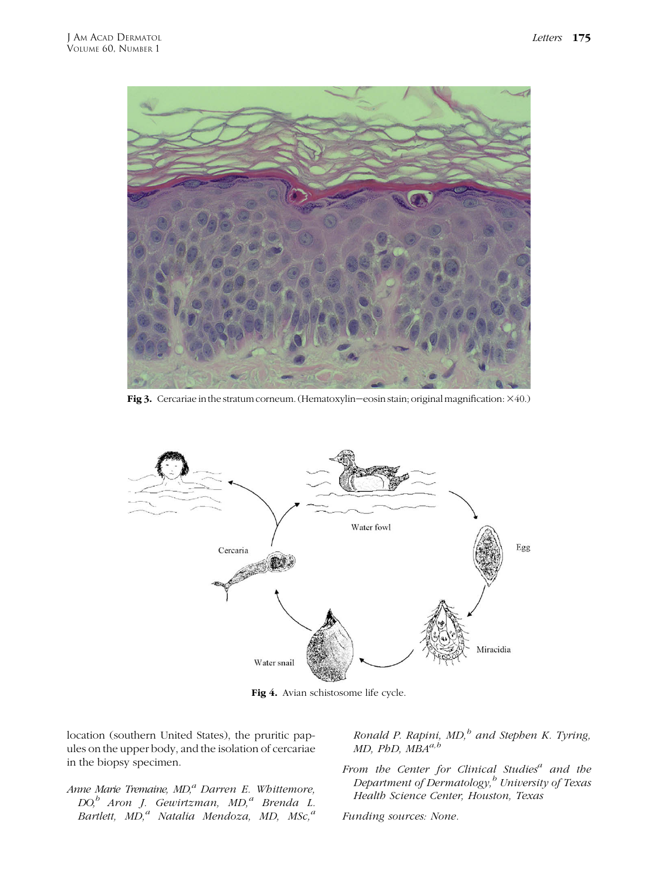<span id="page-1-0"></span>

Fig 3. Cercariae in the stratum corneum. (Hematoxylin–eosin stain; original magnification:  $\times$ 40.)



Fig 4. Avian schistosome life cycle.

location (southern United States), the pruritic papules on the upper body, and the isolation of cercariae in the biopsy specimen.

Anne Marie Tremaine,  $MD<sub>i</sub><sup>a</sup> Darren E. Whittemore,$ DO,<sup>b</sup> Aron J. Gewirtzman, MD,<sup>a</sup> Brenda L. Bartlett, MD,<sup>a</sup> Natalia Mendoza, MD, MSc,<sup>a</sup>

Ronald P. Rapini,  $MD$ , and Stephen K. Tyring,  $MD$ ,  $PbD$ ,  $MBA^{a,b}$ 

From the Center for Clinical Studies<sup>a</sup> and the Department of Dermatology,<sup>b</sup> University of Texas Health Science Center, Houston, Texas

Funding sources: None.